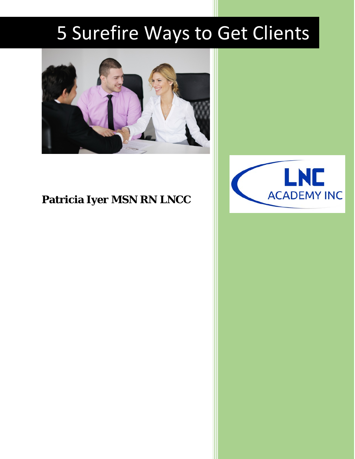# 5 Surefire Ways to Get Clients



## **Patricia Iyer MSN RN LNCC**

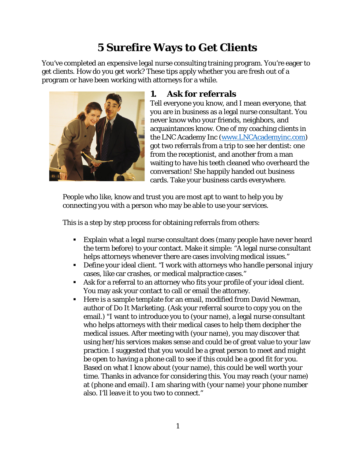## **5 Surefire Ways to Get Clients**

You've completed an expensive legal nurse consulting training program. You're eager to get clients. How do you get work? These tips apply whether you are fresh out of a program or have been working with attorneys for a while.



#### **1. Ask for referrals**

Tell everyone you know, and I mean everyone, that you are in business as a legal nurse consultant. You never know who your friends, neighbors, and acquaintances know. One of my coaching clients in the LNC Academy Inc [\(www.LNCAcademyinc.com\)](http://www.lncacademyinc.com/) got two referrals from a trip to see her dentist: one from the receptionist, and another from a man waiting to have his teeth cleaned who overheard the conversation! She happily handed out business cards. Take your business cards everywhere.

People who like, know and trust you are most apt to want to help you by connecting you with a person who may be able to use your services.

This is a step by step process for obtaining referrals from others:

- Explain what a legal nurse consultant does (many people have never heard the term before) to your contact. Make it simple: "A legal nurse consultant helps attorneys whenever there are cases involving medical issues."
- Define your ideal client. "I work with attorneys who handle personal injury cases, like car crashes, or medical malpractice cases."
- Ask for a referral to an attorney who fits your profile of your ideal client. You may ask your contact to call or email the attorney.
- Here is a sample template for an email, modified from David Newman, author of *Do It Marketing*. (Ask your referral source to copy you on the email.) "I want to introduce you to (your name), a legal nurse consultant who helps attorneys with their medical cases to help them decipher the medical issues. After meeting with (your name), you may discover that using her/his services makes sense and could be of great value to your law practice. I suggested that you would be a great person to meet and might be open to having a phone call to see if this could be a good fit for you. Based on what I know about (your name), this could be well worth your time. Thanks in advance for considering this. You may reach (your name) at (phone and email). I am sharing with (your name) your phone number also. I'll leave it to you two to connect."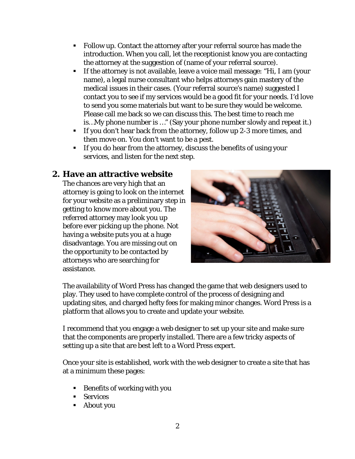- Follow up. Contact the attorney after your referral source has made the introduction. When you call, let the receptionist know you are contacting the attorney at the suggestion of (name of your referral source).
- If the attorney is not available, leave a voice mail message: "Hi, I am (your name), a legal nurse consultant who helps attorneys gain mastery of the medical issues in their cases. (Your referral source's name) suggested I contact you to see if my services would be a good fit for your needs. I'd love to send you some materials but want to be sure they would be welcome. Please call me back so we can discuss this. The best time to reach me is…My phone number is …" (Say your phone number slowly and repeat it.)
- If you don't hear back from the attorney, follow up 2-3 more times, and then move on. You don't want to be a pest.
- If you do hear from the attorney, discuss the benefits of using your services, and listen for the next step.

#### **2. Have an attractive website**

The chances are very high that an attorney is going to look on the internet for your website as a preliminary step in getting to know more about you. The referred attorney may look you up before ever picking up the phone. Not having a website puts you at a huge disadvantage. You are missing out on the opportunity to be contacted by attorneys who are searching for assistance.



The availability of Word Press has changed the game that web designers used to play. They used to have complete control of the process of designing and updating sites, and charged hefty fees for making minor changes. Word Press is a platform that allows you to create and update your website.

I recommend that you engage a web designer to set up your site and make sure that the components are properly installed. There are a few tricky aspects of setting up a site that are best left to a Word Press expert.

Once your site is established, work with the web designer to create a site that has at a minimum these pages:

- **Benefits of working with you**
- **Services**
- About you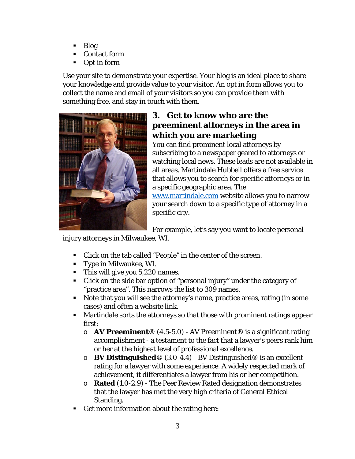- Blog
- Contact form
- Opt in form

Use your site to demonstrate your expertise. Your blog is an ideal place to share your knowledge and provide value to your visitor. An opt in form allows you to collect the name and email of your visitors so you can provide them with something free, and stay in touch with them.



#### **3. Get to know who are the preeminent attorneys in the area in which you are marketing**

You can find prominent local attorneys by subscribing to a newspaper geared to attorneys or watching local news. These leads are not available in all areas. Martindale Hubbell offers a free service that allows you to search for specific attorneys or in a specific geographic area. The [www.martindale.com](http://www.martindale.com/) website allows you to narrow your search down to a specific type of attorney in a specific city.

For example, let's say you want to locate personal

injury attorneys in Milwaukee, WI.

- Click on the tab called "People" in the center of the screen.
- Type in Milwaukee, WI.
- This will give you 5,220 names.
- Click on the side bar option of "personal injury" under the category of "practice area". This narrows the list to 309 names.
- Note that you will see the attorney's name, practice areas, rating (in some cases) and often a website link.
- Martindale sorts the attorneys so that those with prominent ratings appear first:
	- o **AV Preeminent**® (4.5-5.0) AV Preeminent® is a significant rating accomplishment - a testament to the fact that a lawyer's peers rank him or her at the highest level of professional excellence.
	- o **BV Distinguished**® (3.0-4.4) BV Distinguished® is an excellent rating for a lawyer with some experience. A widely respected mark of achievement, it differentiates a lawyer from his or her competition.
	- o **Rated** (1.0-2.9) The Peer Review Rated designation demonstrates that the lawyer has met the very high criteria of General Ethical Standing.
- Get more information about the rating here: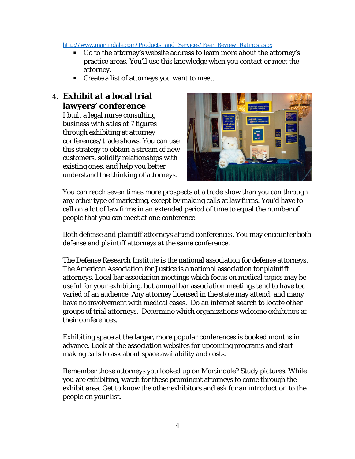#### [http://www.martindale.com/Products\\_and\\_Services/Peer\\_Review\\_Ratings.aspx](http://www.martindale.com/Products_and_Services/Peer_Review_Ratings.aspx)

- Go to the attorney's website address to learn more about the attorney's practice areas. You'll use this knowledge when you contact or meet the attorney.
- Create a list of attorneys you want to meet.

#### 4. **Exhibit at a local trial lawyers' conference**

I built a legal nurse consulting business with sales of 7 figures through exhibiting at attorney conferences/trade shows. You can use this strategy to obtain a stream of new customers, solidify relationships with existing ones, and help you better understand the thinking of attorneys.



You can reach seven times more prospects at a trade show than you can through any other type of marketing, except by making calls at law firms. You'd have to call on a lot of law firms in an extended period of time to equal the number of people that you can meet at one conference.

Both defense and plaintiff attorneys attend conferences. You may encounter both defense and plaintiff attorneys at the same conference.

The Defense Research Institute is the national association for defense attorneys. The American Association for Justice is a national association for plaintiff attorneys. Local bar association meetings which focus on medical topics may be useful for your exhibiting, but annual bar association meetings tend to have too varied of an audience. Any attorney licensed in the state may attend, and many have no involvement with medical cases. Do an internet search to locate other groups of trial attorneys. Determine which organizations welcome exhibitors at their conferences.

Exhibiting space at the larger, more popular conferences is booked months in advance. Look at the association websites for upcoming programs and start making calls to ask about space availability and costs.

Remember those attorneys you looked up on Martindale? Study pictures. While you are exhibiting, watch for these prominent attorneys to come through the exhibit area. Get to know the other exhibitors and ask for an introduction to the people on your list.